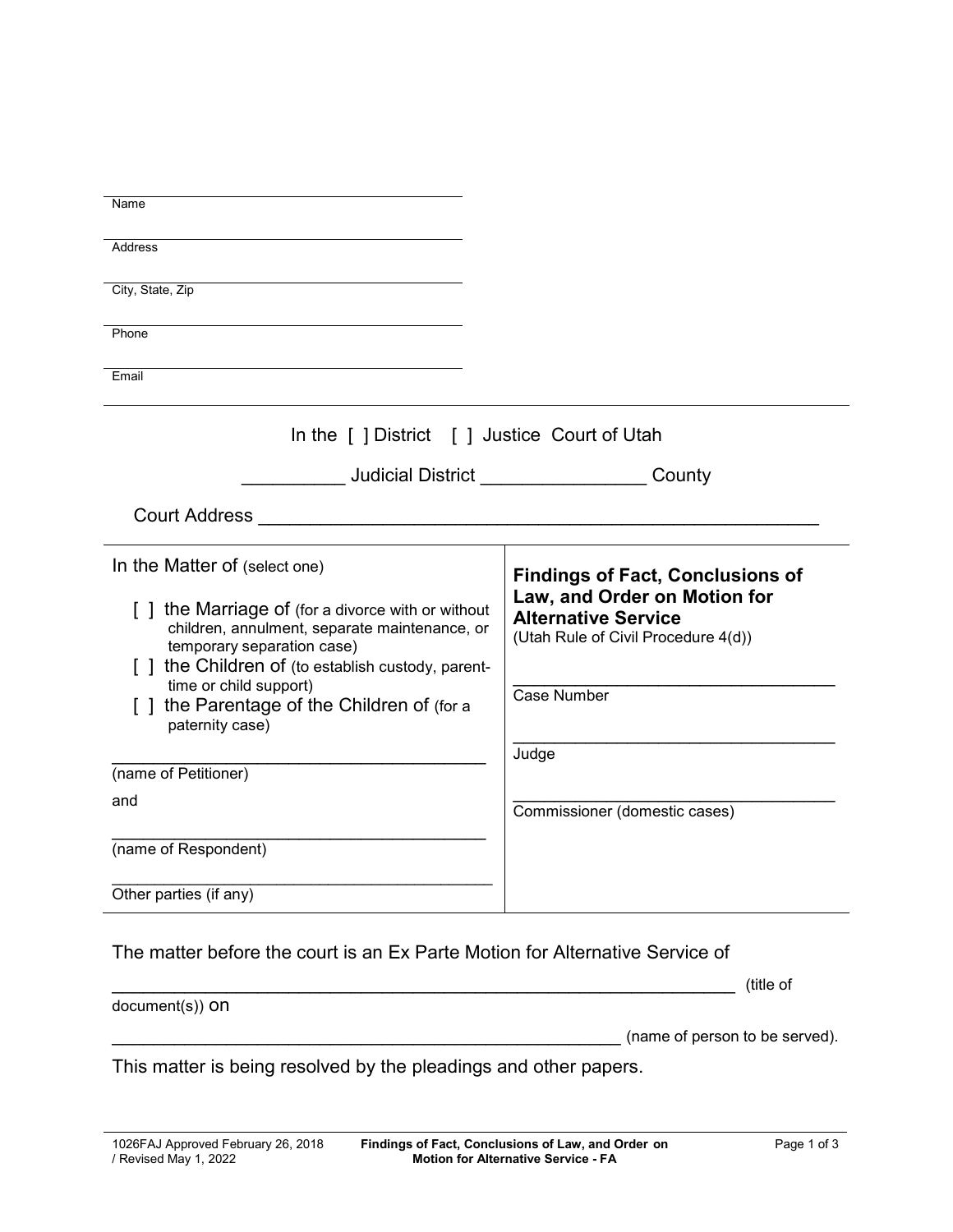| Name                                                                                                                                                                                                                                              |                                                                                                                                                             |  |
|---------------------------------------------------------------------------------------------------------------------------------------------------------------------------------------------------------------------------------------------------|-------------------------------------------------------------------------------------------------------------------------------------------------------------|--|
| Address                                                                                                                                                                                                                                           |                                                                                                                                                             |  |
| City, State, Zip                                                                                                                                                                                                                                  |                                                                                                                                                             |  |
|                                                                                                                                                                                                                                                   |                                                                                                                                                             |  |
| Phone                                                                                                                                                                                                                                             |                                                                                                                                                             |  |
| Email                                                                                                                                                                                                                                             |                                                                                                                                                             |  |
| In the [ ] District [ ] Justice Court of Utah                                                                                                                                                                                                     |                                                                                                                                                             |  |
|                                                                                                                                                                                                                                                   | Judicial District County                                                                                                                                    |  |
|                                                                                                                                                                                                                                                   |                                                                                                                                                             |  |
|                                                                                                                                                                                                                                                   |                                                                                                                                                             |  |
| In the Matter of (select one)<br>[] the Marriage of (for a divorce with or without<br>children, annulment, separate maintenance, or<br>temporary separation case)<br>[ ] the Children of (to establish custody, parent-<br>time or child support) | <b>Findings of Fact, Conclusions of</b><br>Law, and Order on Motion for<br><b>Alternative Service</b><br>(Utah Rule of Civil Procedure 4(d))<br>Case Number |  |
| [ ] the Parentage of the Children of (for a<br>paternity case)                                                                                                                                                                                    |                                                                                                                                                             |  |
|                                                                                                                                                                                                                                                   | Judge                                                                                                                                                       |  |
| (name of Petitioner)                                                                                                                                                                                                                              |                                                                                                                                                             |  |
| and                                                                                                                                                                                                                                               | Commissioner (domestic cases)                                                                                                                               |  |
| (name of Respondent)                                                                                                                                                                                                                              |                                                                                                                                                             |  |
| Other parties (if any)                                                                                                                                                                                                                            |                                                                                                                                                             |  |
|                                                                                                                                                                                                                                                   |                                                                                                                                                             |  |
| The matter before the court is an Ex Parte Motion for Alternative Service of                                                                                                                                                                      |                                                                                                                                                             |  |
| document(s)) ON                                                                                                                                                                                                                                   | (title of                                                                                                                                                   |  |
|                                                                                                                                                                                                                                                   | (name of person to be served).                                                                                                                              |  |
| This matter is being resolved by the pleadings and other papers.                                                                                                                                                                                  |                                                                                                                                                             |  |
|                                                                                                                                                                                                                                                   |                                                                                                                                                             |  |
|                                                                                                                                                                                                                                                   |                                                                                                                                                             |  |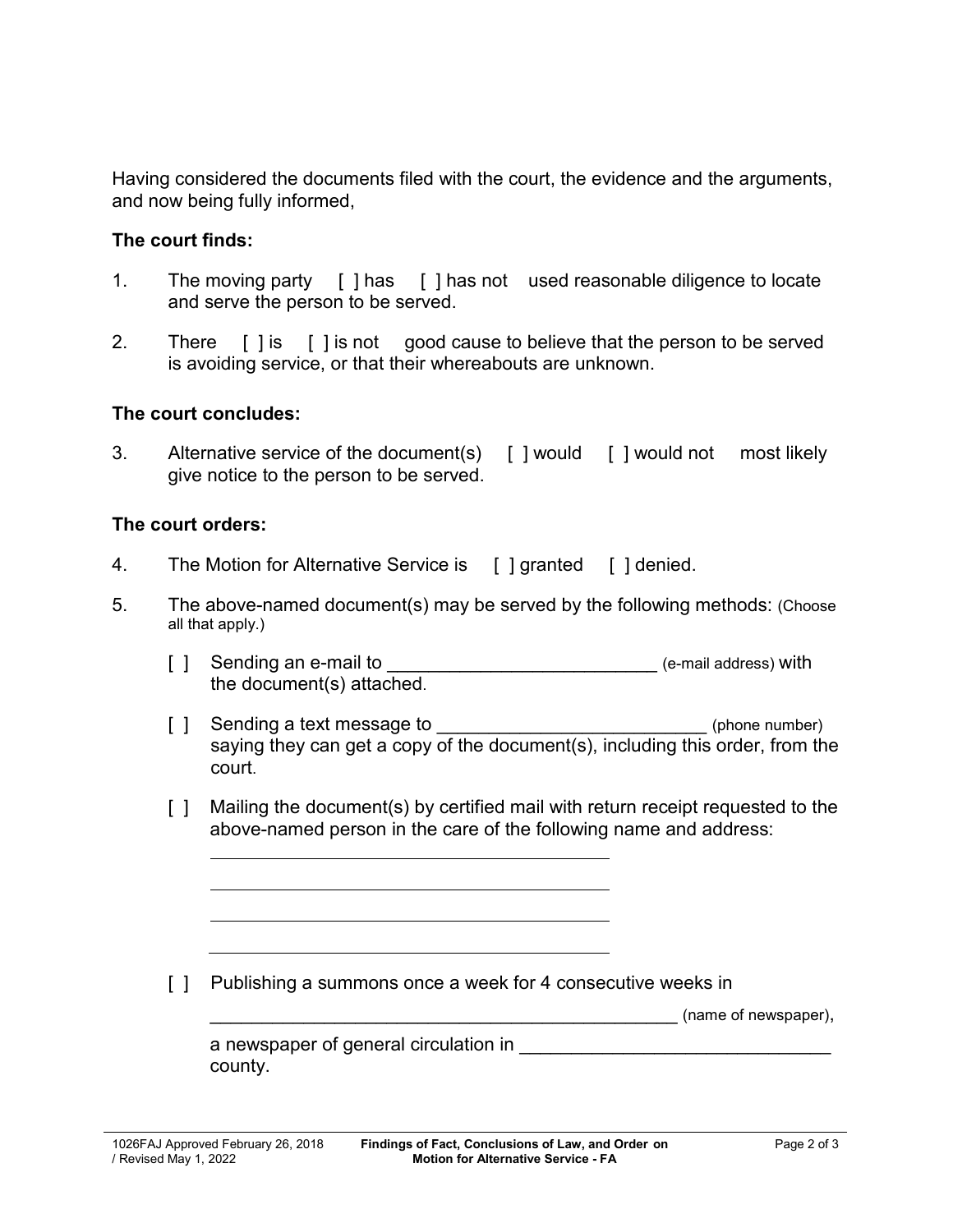Having considered the documents filed with the court, the evidence and the arguments, and now being fully informed,

## **The court finds:**

- 1. The moving party [ ] has [ ] has not used reasonable diligence to locate and serve the person to be served.
- 2. There [ ] is [ ] is not good cause to believe that the person to be served is avoiding service, or that their whereabouts are unknown.

## **The court concludes:**

3. Alternative service of the document(s) [ ] would [ ] would not most likely give notice to the person to be served.

## **The court orders:**

- 4. The Motion for Alternative Service is [ ] granted [ ] denied.
- 5. The above-named document(s) may be served by the following methods: (Choose all that apply.)
	- [ ] Sending an e-mail to \_\_\_\_\_\_\_\_\_\_\_\_\_\_\_\_\_\_\_\_\_\_\_\_\_\_\_\_\_\_\_\_ (e-mail address) with the document(s) attached.
	- [ ] Sending a text message to  $\blacksquare$ saying they can get a copy of the document(s), including this order, from the court.
	- [ ] Mailing the document(s) by certified mail with return receipt requested to the above-named person in the care of the following name and address:

[ ] Publishing a summons once a week for 4 consecutive weeks in

(name of newspaper),

| a newspaper of general circulation in |  |
|---------------------------------------|--|
| county.                               |  |